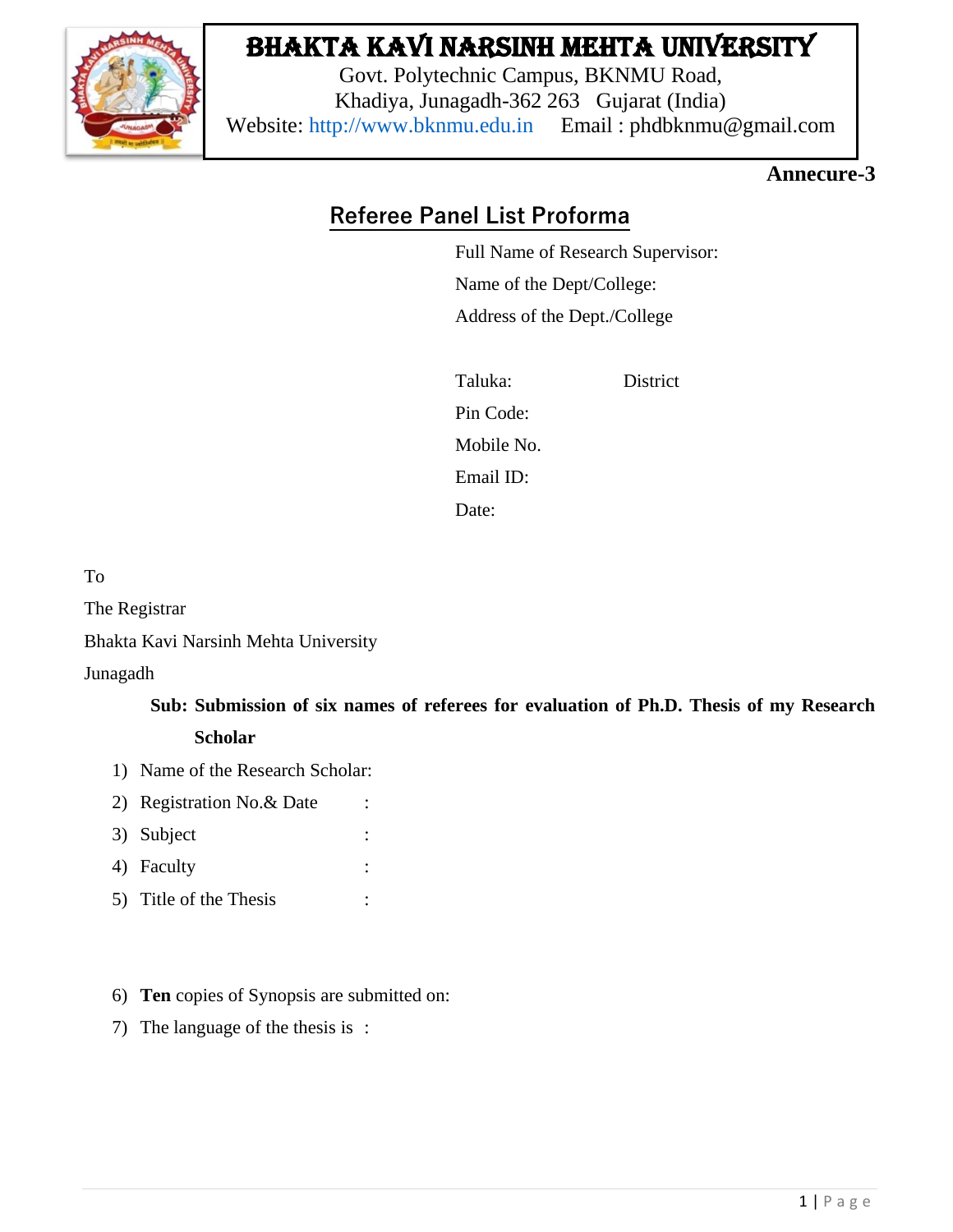

# Bhakta Kavi Narsinh Mehta University

Govt. Polytechnic Campus, BKNMU Road, Khadiya, Junagadh-362 263 Gujarat (India) Website: [http://www.bknmu.edu.in](http://www.bknmu.edu.in/) Email : phdbknmu@gmail.com

### **Annecure-3**

### **Referee Panel List Proforma**

Full Name of Research Supervisor: Name of the Dept/College: Address of the Dept./College

Taluka: District Pin Code: Mobile No. Email ID: Date:

To

The Registrar

Bhakta Kavi Narsinh Mehta University

Junagadh

## **Sub: Submission of six names of referees for evaluation of Ph.D. Thesis of my Research**

### **Scholar**

- 1) Name of the Research Scholar:
- 2) Registration No. & Date :
- 3) Subject :
- 4) Faculty :
- 5) Title of the Thesis :
- 6) **Ten** copies of Synopsis are submitted on:
- 7) The language of the thesis is :